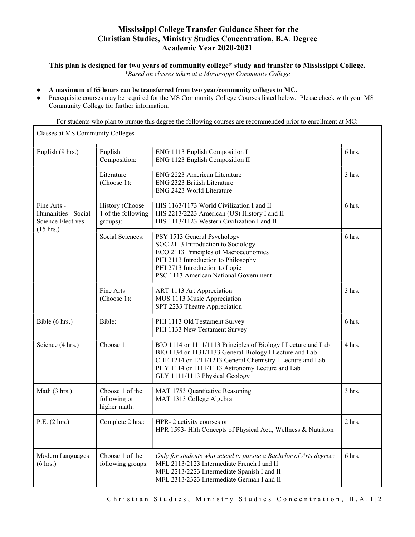## Mississippi College Transfer Guidance Sheet for the Christian Studies, Ministry Studies Concentration, B.A. Degree Academic Year 2020-2021

This plan is designed for two years of community college\* study and transfer to Mississippi College.

\*Based on classes taken at a Mississippi Community College

A maximum of 65 hours can be transferred from two year/community colleges to MC.

 $\mathsf{r}$ 

Prerequisite courses may be required for the MS Community College Courses listed below. Please check with your MS Community College for further information.

For students who plan to pursue this degree the following courses are recommended prior to enrollment at MC:

| Classes at MS Community Colleges                                                      |                                                   |                                                                                                                                                                                                                                                                            |          |  |
|---------------------------------------------------------------------------------------|---------------------------------------------------|----------------------------------------------------------------------------------------------------------------------------------------------------------------------------------------------------------------------------------------------------------------------------|----------|--|
| English (9 hrs.)                                                                      | English<br>Composition:                           | ENG 1113 English Composition I<br>ENG 1123 English Composition II                                                                                                                                                                                                          | 6 hrs.   |  |
|                                                                                       | Literature<br>(Choose 1):                         | ENG 2223 American Literature<br>ENG 2323 British Literature<br>ENG 2423 World Literature                                                                                                                                                                                   | $3$ hrs. |  |
| Fine Arts -<br>Humanities - Social<br><b>Science Electives</b><br>$(15 \text{ hrs.})$ | History (Choose<br>1 of the following<br>groups): | HIS 1163/1173 World Civilization I and II<br>HIS 2213/2223 American (US) History I and II<br>HIS 1113/1123 Western Civilization I and II                                                                                                                                   | 6 hrs.   |  |
|                                                                                       | Social Sciences:                                  | PSY 1513 General Psychology<br>SOC 2113 Introduction to Sociology<br>ECO 2113 Principles of Macroeconomics<br>PHI 2113 Introduction to Philosophy<br>PHI 2713 Introduction to Logic<br>PSC 1113 American National Government                                               | $6$ hrs. |  |
|                                                                                       | Fine Arts<br>(Choose 1):                          | ART 1113 Art Appreciation<br>MUS 1113 Music Appreciation<br>SPT 2233 Theatre Appreciation                                                                                                                                                                                  | $3$ hrs. |  |
| Bible (6 hrs.)                                                                        | Bible:                                            | PHI 1113 Old Testament Survey<br>PHI 1133 New Testament Survey                                                                                                                                                                                                             | 6 hrs.   |  |
| Science (4 hrs.)                                                                      | Choose 1:                                         | BIO 1114 or 1111/1113 Principles of Biology I Lecture and Lab<br>BIO 1134 or 1131/1133 General Biology I Lecture and Lab<br>CHE 1214 or 1211/1213 General Chemistry I Lecture and Lab<br>PHY 1114 or 1111/1113 Astronomy Lecture and Lab<br>GLY 1111/1113 Physical Geology | 4 hrs.   |  |
| Math (3 hrs.)                                                                         | Choose 1 of the<br>following or<br>higher math:   | MAT 1753 Quantitative Reasoning<br>MAT 1313 College Algebra                                                                                                                                                                                                                | 3 hrs.   |  |
| P.E. (2 hrs.)                                                                         | Complete 2 hrs.:                                  | HPR-2 activity courses or<br>HPR 1593- Hlth Concepts of Physical Act., Wellness & Nutrition                                                                                                                                                                                | $2$ hrs. |  |
| Modern Languages<br>$(6 \text{ hrs.})$                                                | Choose 1 of the<br>following groups:              | Only for students who intend to pursue a Bachelor of Arts degree:<br>MFL 2113/2123 Intermediate French I and II<br>MFL 2213/2223 Intermediate Spanish I and II<br>MFL 2313/2323 Intermediate German I and II                                                               | 6 hrs.   |  |